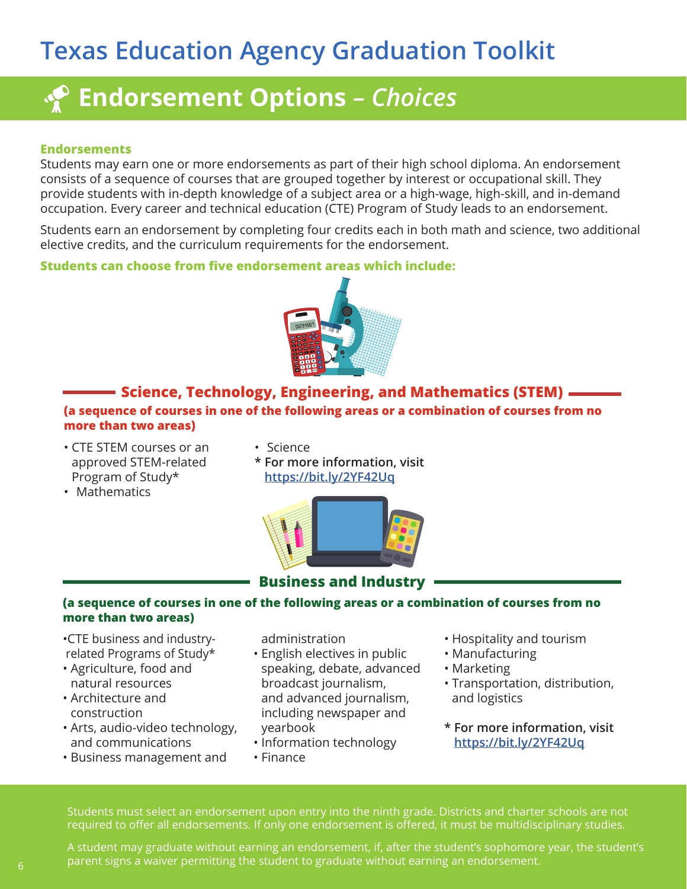# **Texas Education Agency Graduation Toolkit**

# **Endorsement Options** *– Choices*

#### **Endorsements**

Students may earn one or more endorsements as part of their high school diploma. An endorsement consists of a sequence of courses that are grouped together by interest or occupational skill. They provide students with in-depth knowledge of a subject area or a high-wage, high-skill, and in-demand occupation. Every career and technical education (CTE) Program of Study leads to an endorsement.

Students earn an endorsement by completing four credits each in both math and science, two additional elective credits, and the curriculum requirements for the endorsement.

### **Students can choose from five endorsement areas which include:**



**(a sequence of courses in one of the following areas or a combination of courses from no more than two areas) Science, Technology, Engineering, and Mathematics (STEM)**

- CTE STEM courses or an approved STEM-related Program of Study\*
- Mathematics

• Science **\* For more information, visit https://bit.ly/2YF42Uq**



**Business and Industry**

#### **(a sequence of courses in one of the following areas or a combination of courses from no more than two areas)**

•CTE business and industry related Programs of Study\*

- Agriculture, food and natural resources
- Architecture and construction
- Arts, audio-video technology, and communications
- Business management and

administration

- English electives in public speaking, debate, advanced broadcast journalism, and advanced journalism, including newspaper and yearbook
- Information technology
- Finance
- Hospitality and tourism
- Manufacturing
- Marketing
- Transportation, distribution, and logistics
- **\* For more information, visit https://bit.ly/2YF42Uq**

Students must select an endorsement upon entry into the ninth grade. Districts and charter schools are not required to offer all endorsements. If only one endorsement is offered, it must be multidisciplinary studies.

A student may graduate without earning an endorsement, if, after the student's sophomore year, the student's parent signs a waiver permitting the student to graduate without earning an endorsement.